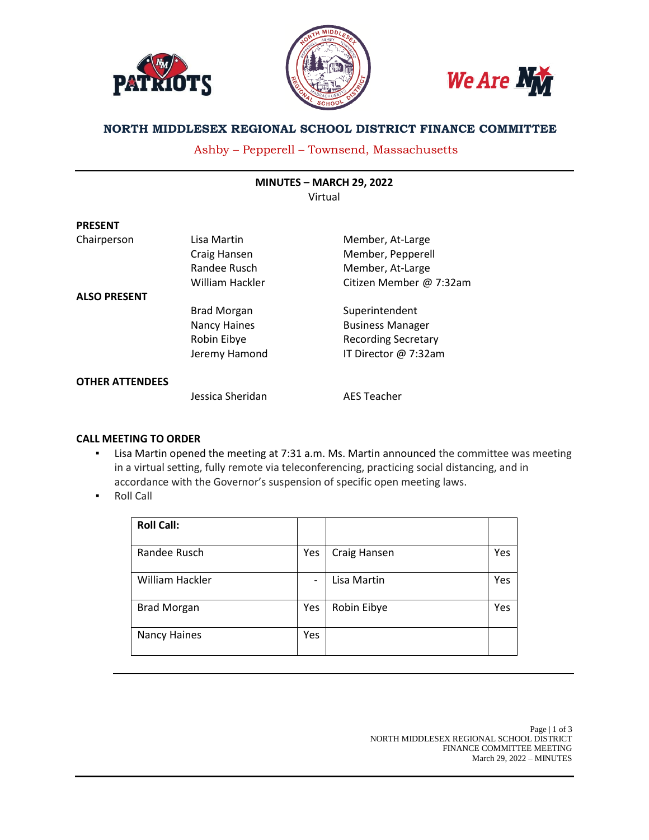





# **NORTH MIDDLESEX REGIONAL SCHOOL DISTRICT FINANCE COMMITTEE**

Ashby – Pepperell – Townsend, Massachusetts

| <b>MINUTES - MARCH 29, 2022</b> |  |
|---------------------------------|--|
| Virtual                         |  |

| <b>PRESENT</b>         |                     |                            |
|------------------------|---------------------|----------------------------|
| Chairperson            | Lisa Martin         | Member, At-Large           |
|                        | Craig Hansen        | Member, Pepperell          |
|                        | Randee Rusch        | Member, At-Large           |
|                        | William Hackler     | Citizen Member @ 7:32am    |
| <b>ALSO PRESENT</b>    |                     |                            |
|                        | <b>Brad Morgan</b>  | Superintendent             |
|                        | <b>Nancy Haines</b> | <b>Business Manager</b>    |
|                        | Robin Eibye         | <b>Recording Secretary</b> |
|                        | Jeremy Hamond       | IT Director @ 7:32am       |
| <b>OTHER ATTENDEES</b> |                     |                            |
|                        | Jessica Sheridan    | <b>AES Teacher</b>         |

## **CALL MEETING TO ORDER**

- Lisa Martin opened the meeting at 7:31 a.m. Ms. Martin announced the committee was meeting in a virtual setting, fully remote via teleconferencing, practicing social distancing, and in accordance with the Governor's suspension of specific open meeting laws.
- **Roll Call**

| <b>Roll Call:</b>  |                          |              |            |
|--------------------|--------------------------|--------------|------------|
| Randee Rusch       | Yes                      | Craig Hansen | <b>Yes</b> |
| William Hackler    | $\overline{\phantom{0}}$ | Lisa Martin  | Yes        |
| <b>Brad Morgan</b> | Yes                      | Robin Eibye  | Yes        |
| Nancy Haines       | Yes                      |              |            |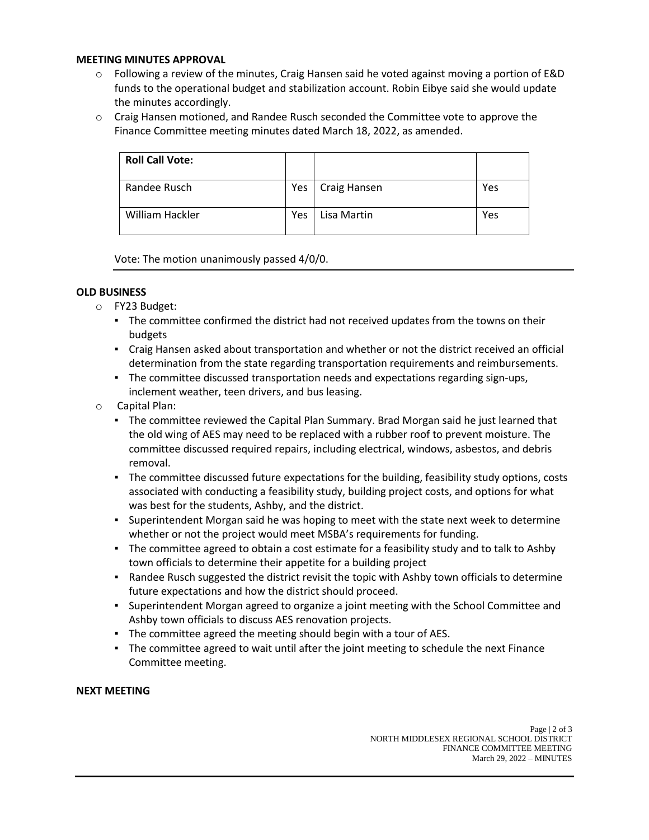## **MEETING MINUTES APPROVAL**

- $\circ$  Following a review of the minutes, Craig Hansen said he voted against moving a portion of E&D funds to the operational budget and stabilization account. Robin Eibye said she would update the minutes accordingly.
- $\circ$  Craig Hansen motioned, and Randee Rusch seconded the Committee vote to approve the Finance Committee meeting minutes dated March 18, 2022, as amended.

| <b>Roll Call Vote:</b> |     |              |     |
|------------------------|-----|--------------|-----|
| Randee Rusch           | Yes | Craig Hansen | Yes |
| William Hackler        | Yes | Lisa Martin  | Yes |

Vote: The motion unanimously passed 4/0/0.

## **OLD BUSINESS**

- o FY23 Budget:
	- **•** The committee confirmed the district had not received updates from the towns on their budgets
	- Craig Hansen asked about transportation and whether or not the district received an official determination from the state regarding transportation requirements and reimbursements.
	- The committee discussed transportation needs and expectations regarding sign-ups, inclement weather, teen drivers, and bus leasing.
- o Capital Plan:
	- The committee reviewed the Capital Plan Summary. Brad Morgan said he just learned that the old wing of AES may need to be replaced with a rubber roof to prevent moisture. The committee discussed required repairs, including electrical, windows, asbestos, and debris removal.
	- The committee discussed future expectations for the building, feasibility study options, costs associated with conducting a feasibility study, building project costs, and options for what was best for the students, Ashby, and the district.
	- Superintendent Morgan said he was hoping to meet with the state next week to determine whether or not the project would meet MSBA's requirements for funding.
	- The committee agreed to obtain a cost estimate for a feasibility study and to talk to Ashby town officials to determine their appetite for a building project
	- Randee Rusch suggested the district revisit the topic with Ashby town officials to determine future expectations and how the district should proceed.
	- Superintendent Morgan agreed to organize a joint meeting with the School Committee and Ashby town officials to discuss AES renovation projects.
	- The committee agreed the meeting should begin with a tour of AES.
	- The committee agreed to wait until after the joint meeting to schedule the next Finance Committee meeting.

## **NEXT MEETING**